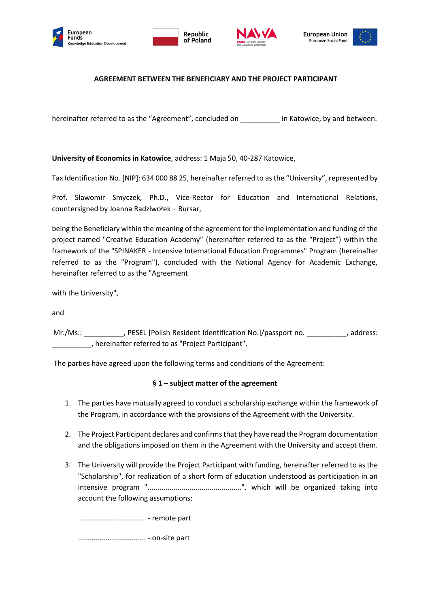







# **AGREEMENT BETWEEN THE BENEFICIARY AND THE PROJECT PARTICIPANT**

hereinafter referred to as the "Agreement", concluded on  $\qquad \qquad$  in Katowice, by and between:

**University of Economics in Katowice**, address: 1 Maja 50, 40-287 Katowice,

Tax Identification No. [NIP]: 634 000 88 25, hereinafter referred to as the "University", represented by

Prof. Sławomir Smyczek, Ph.D., Vice-Rector for Education and International Relations*,*  countersigned by Joanna Radziwołek – Bursar,

being the Beneficiary within the meaning of the agreement for the implementation and funding of the project named "Creative Education Academy" (hereinafter referred to as the "Project") within the framework of the "SPINAKER - Intensive International Education Programmes" Program (hereinafter referred to as the "Program"), concluded with the National Agency for Academic Exchange, hereinafter referred to as the "Agreement

with the University",

and

Mr./Ms.: \_\_\_\_\_\_\_\_\_\_, PESEL [Polish Resident Identification No.]/passport no. \_\_\_\_\_\_\_\_\_, address: \_\_\_\_\_\_\_\_\_\_, hereinafter referred to as "Project Participant".

The parties have agreed upon the following terms and conditions of the Agreement:

### **§ 1 – subject matter of the agreement**

- 1. The parties have mutually agreed to conduct a scholarship exchange within the framework of the Program, in accordance with the provisions of the Agreement with the University.
- 2. The Project Participant declares and confirms that they have read the Program documentation and the obligations imposed on them in the Agreement with the University and accept them.
- 3. The University will provide the Project Participant with funding, hereinafter referred to as the "Scholarship", for realization of a short form of education understood as participation in an intensive program "...............................................", which will be organized taking into account the following assumptions:

.................................. - remote part .................................. - on-site part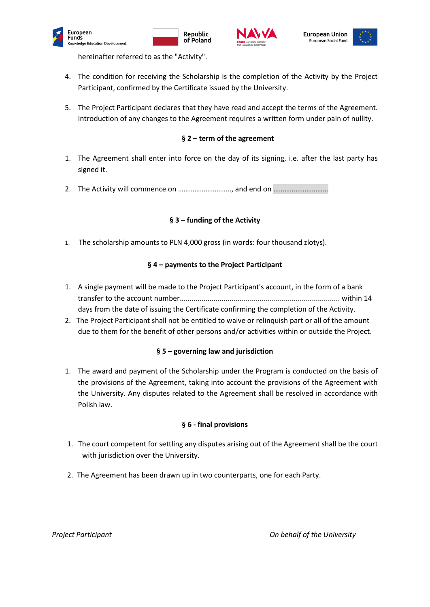









hereinafter referred to as the "Activity".

- 4. The condition for receiving the Scholarship is the completion of the Activity by the Project Participant, confirmed by the Certificate issued by the University.
- 5. The Project Participant declares that they have read and accept the terms of the Agreement. Introduction of any changes to the Agreement requires a written form under pain of nullity.

## **§ 2 – term of the agreement**

- 1. The Agreement [shall enter into force on the day of its signing,](https://www.proz.com/kudoz/polish-to-english/insurance/848780-wchodzi-w-zycie-z-dniem-zawarcia.html#2095131) i.e. after the last party has signed it.
- 2. The Activity will commence on ……………………….., and end on …………………………

### **§ 3 – funding of the Activity**

1. The scholarship amounts to PLN 4,000 gross (in words: four thousand zlotys).

### **§ 4 – payments to the Project Participant**

- 1. A single payment will be made to the Project Participant's account, in the form of a bank transfer to the account number................................................................................ within 14 days from the date of issuing the Certificate confirming the completion of the Activity.
- 2. The Project Participant shall not be entitled to waive or relinquish part or all of the amount due to them for the benefit of other persons and/or activities within or outside the Project.

### **§ 5 – governing law and jurisdiction**

1. The award and payment of the Scholarship under the Program is conducted on the basis of the provisions of the Agreement, taking into account the provisions of the Agreement with the University. Any disputes related to the Agreement shall be resolved in accordance with Polish law.

### **§ 6 - final provisions**

- 1. The court competent for settling any disputes arising out of the Agreement shall be the court with jurisdiction over the University.
- 2. The Agreement has been drawn up in two counterparts, one for each Party.